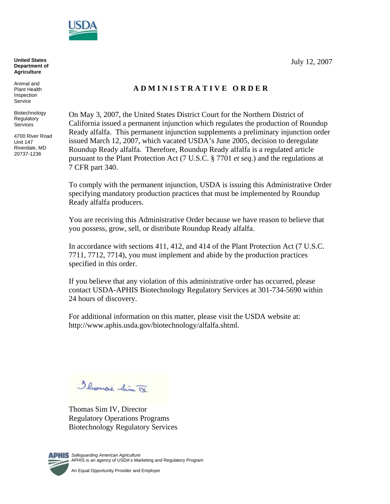

**Department of Agriculture**

Animal and Plant Health Inspection **Service** 

Biotechnology **Regulatory Services** 

4700 River Road Unit 147 Riverdale, MD 20737-1236

# **A D M I N I S T R A T I V E O R D E R**

On May 3, 2007, the United States District Court for the Northern District of California issued a permanent injunction which regulates the production of Roundup Ready alfalfa. This permanent injunction supplements a preliminary injunction order issued March 12, 2007, which vacated USDA's June 2005, decision to deregulate Roundup Ready alfalfa. Therefore, Roundup Ready alfalfa is a regulated article pursuant to the Plant Protection Act (7 U.S.C. § 7701 *et seq.*) and the regulations at 7 CFR part 340.

To comply with the permanent injunction, USDA is issuing this Administrative Order specifying mandatory production practices that must be implemented by Roundup Ready alfalfa producers.

You are receiving this Administrative Order because we have reason to believe that you possess, grow, sell, or distribute Roundup Ready alfalfa.

In accordance with sections 411, 412, and 414 of the Plant Protection Act (7 U.S.C. 7711, 7712, 7714), you must implement and abide by the production practices specified in this order.

If you believe that any violation of this administrative order has occurred, please contact USDA-APHIS Biotechnology Regulatory Services at 301-734-5690 within 24 hours of discovery.

For additional information on this matter, please visit the USDA website at: http://www.aphis.usda.gov/biotechnology/alfalfa.shtml.

Illound Sim TV

Thomas Sim IV, Director Regulatory Operations Programs Biotechnology Regulatory Services



**KIS** Safeguarding American Agriculture APHIS is an agency of USDA's Marketing and Regulatory Program

An Equal Opportunity Provider and Employer

July 12, 2007 **United States**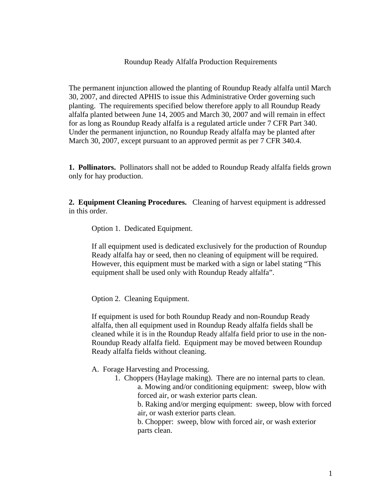Roundup Ready Alfalfa Production Requirements

The permanent injunction allowed the planting of Roundup Ready alfalfa until March 30, 2007, and directed APHIS to issue this Administrative Order governing such planting. The requirements specified below therefore apply to all Roundup Ready alfalfa planted between June 14, 2005 and March 30, 2007 and will remain in effect for as long as Roundup Ready alfalfa is a regulated article under 7 CFR Part 340. Under the permanent injunction, no Roundup Ready alfalfa may be planted after March 30, 2007, except pursuant to an approved permit as per 7 CFR 340.4.

**1. Pollinators.** Pollinators shall not be added to Roundup Ready alfalfa fields grown only for hay production.

**2. Equipment Cleaning Procedures.** Cleaning of harvest equipment is addressed in this order.

Option 1. Dedicated Equipment.

If all equipment used is dedicated exclusively for the production of Roundup Ready alfalfa hay or seed, then no cleaning of equipment will be required. However, this equipment must be marked with a sign or label stating "This equipment shall be used only with Roundup Ready alfalfa".

Option 2. Cleaning Equipment.

If equipment is used for both Roundup Ready and non-Roundup Ready alfalfa, then all equipment used in Roundup Ready alfalfa fields shall be cleaned while it is in the Roundup Ready alfalfa field prior to use in the non-Roundup Ready alfalfa field. Equipment may be moved between Roundup Ready alfalfa fields without cleaning.

- A. Forage Harvesting and Processing.
	- 1. Choppers (Haylage making). There are no internal parts to clean.

a. Mowing and/or conditioning equipment: sweep, blow with forced air, or wash exterior parts clean.

b. Raking and/or merging equipment: sweep, blow with forced air, or wash exterior parts clean.

b. Chopper: sweep, blow with forced air, or wash exterior parts clean.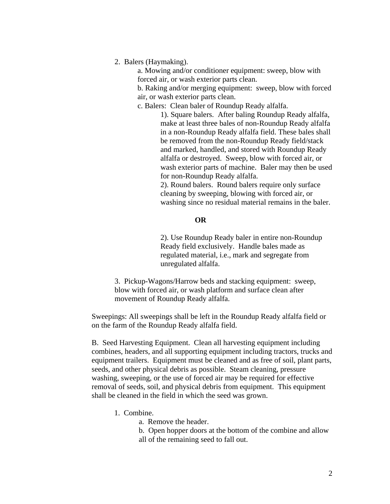2. Balers (Haymaking).

a. Mowing and/or conditioner equipment: sweep, blow with forced air, or wash exterior parts clean.

b. Raking and/or merging equipment: sweep, blow with forced air, or wash exterior parts clean.

c. Balers: Clean baler of Roundup Ready alfalfa.

1). Square balers. After baling Roundup Ready alfalfa, make at least three bales of non-Roundup Ready alfalfa in a non-Roundup Ready alfalfa field. These bales shall be removed from the non-Roundup Ready field/stack and marked, handled, and stored with Roundup Ready alfalfa or destroyed. Sweep, blow with forced air, or wash exterior parts of machine. Baler may then be used for non-Roundup Ready alfalfa.

2). Round balers. Round balers require only surface cleaning by sweeping, blowing with forced air, or washing since no residual material remains in the baler.

### **OR**

2). Use Roundup Ready baler in entire non-Roundup Ready field exclusively. Handle bales made as regulated material, i.e., mark and segregate from unregulated alfalfa.

3. Pickup-Wagons/Harrow beds and stacking equipment: sweep, blow with forced air, or wash platform and surface clean after movement of Roundup Ready alfalfa.

Sweepings: All sweepings shall be left in the Roundup Ready alfalfa field or on the farm of the Roundup Ready alfalfa field.

B. Seed Harvesting Equipment. Clean all harvesting equipment including combines, headers, and all supporting equipment including tractors, trucks and equipment trailers. Equipment must be cleaned and as free of soil, plant parts, seeds, and other physical debris as possible. Steam cleaning, pressure washing, sweeping, or the use of forced air may be required for effective removal of seeds, soil, and physical debris from equipment. This equipment shall be cleaned in the field in which the seed was grown.

- 1. Combine.
	- a. Remove the header.
	- b. Open hopper doors at the bottom of the combine and allow
	- all of the remaining seed to fall out.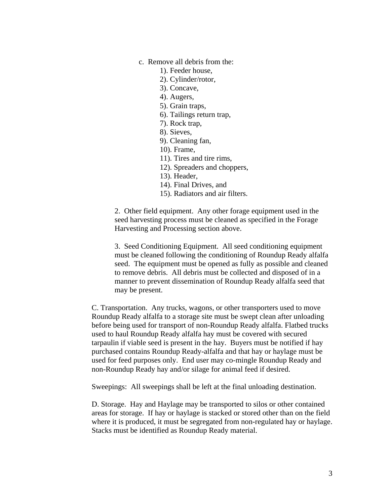- c. Remove all debris from the:
	- 1). Feeder house,
	- 2). Cylinder/rotor,
	- 3). Concave,
	- 4). Augers,
	- 5). Grain traps,
	- 6). Tailings return trap,
	- 7). Rock trap,
	- 8). Sieves,
	- 9). Cleaning fan,
	- 10). Frame,
	- 11). Tires and tire rims,
	- 12). Spreaders and choppers,
	- 13). Header,
	- 14). Final Drives, and
	- 15). Radiators and air filters.

2. Other field equipment. Any other forage equipment used in the seed harvesting process must be cleaned as specified in the Forage Harvesting and Processing section above.

3. Seed Conditioning Equipment. All seed conditioning equipment must be cleaned following the conditioning of Roundup Ready alfalfa seed. The equipment must be opened as fully as possible and cleaned to remove debris. All debris must be collected and disposed of in a manner to prevent dissemination of Roundup Ready alfalfa seed that may be present.

C. Transportation. Any trucks, wagons, or other transporters used to move Roundup Ready alfalfa to a storage site must be swept clean after unloading before being used for transport of non-Roundup Ready alfalfa. Flatbed trucks used to haul Roundup Ready alfalfa hay must be covered with secured tarpaulin if viable seed is present in the hay. Buyers must be notified if hay purchased contains Roundup Ready-alfalfa and that hay or haylage must be used for feed purposes only. End user may co-mingle Roundup Ready and non-Roundup Ready hay and/or silage for animal feed if desired.

Sweepings: All sweepings shall be left at the final unloading destination.

D. Storage. Hay and Haylage may be transported to silos or other contained areas for storage. If hay or haylage is stacked or stored other than on the field where it is produced, it must be segregated from non-regulated hay or haylage. Stacks must be identified as Roundup Ready material.